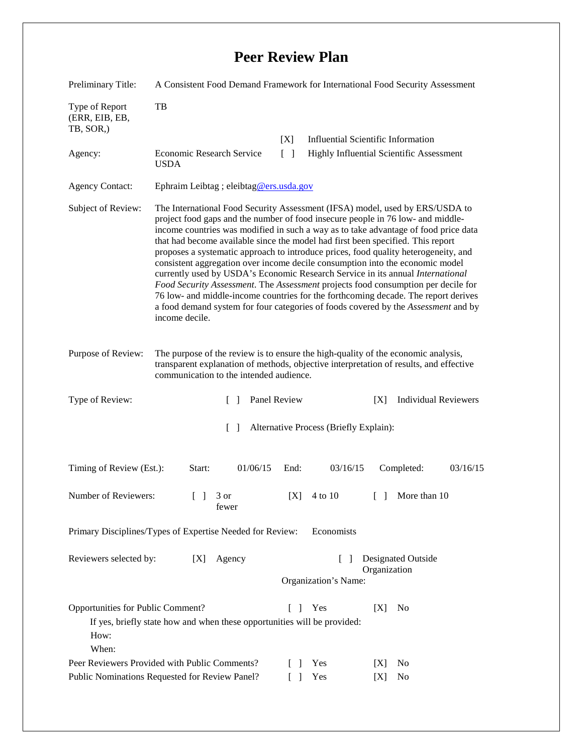## **Peer Review Plan**

| Preliminary Title:                                                                                                                                                                                              | A Consistent Food Demand Framework for International Food Security Assessment                                                                                                                                                                                                                                                                                                                                                                                                                                                                                                                                                                                                                                                                                                                                                                                                          |                 |                                                                             |                                           |  |
|-----------------------------------------------------------------------------------------------------------------------------------------------------------------------------------------------------------------|----------------------------------------------------------------------------------------------------------------------------------------------------------------------------------------------------------------------------------------------------------------------------------------------------------------------------------------------------------------------------------------------------------------------------------------------------------------------------------------------------------------------------------------------------------------------------------------------------------------------------------------------------------------------------------------------------------------------------------------------------------------------------------------------------------------------------------------------------------------------------------------|-----------------|-----------------------------------------------------------------------------|-------------------------------------------|--|
| Type of Report<br>(ERR, EIB, EB,<br>TB, SOR,)                                                                                                                                                                   | TB                                                                                                                                                                                                                                                                                                                                                                                                                                                                                                                                                                                                                                                                                                                                                                                                                                                                                     |                 |                                                                             |                                           |  |
|                                                                                                                                                                                                                 |                                                                                                                                                                                                                                                                                                                                                                                                                                                                                                                                                                                                                                                                                                                                                                                                                                                                                        | [X]             |                                                                             | <b>Influential Scientific Information</b> |  |
| Agency:                                                                                                                                                                                                         | Economic Research Service<br><b>USDA</b>                                                                                                                                                                                                                                                                                                                                                                                                                                                                                                                                                                                                                                                                                                                                                                                                                                               | $\lceil \rceil$ | Highly Influential Scientific Assessment                                    |                                           |  |
| <b>Agency Contact:</b>                                                                                                                                                                                          | Ephraim Leibtag ; eleibtag@ers.usda.gov                                                                                                                                                                                                                                                                                                                                                                                                                                                                                                                                                                                                                                                                                                                                                                                                                                                |                 |                                                                             |                                           |  |
| Subject of Review:                                                                                                                                                                                              | The International Food Security Assessment (IFSA) model, used by ERS/USDA to<br>project food gaps and the number of food insecure people in 76 low- and middle-<br>income countries was modified in such a way as to take advantage of food price data<br>that had become available since the model had first been specified. This report<br>proposes a systematic approach to introduce prices, food quality heterogeneity, and<br>consistent aggregation over income decile consumption into the economic model<br>currently used by USDA's Economic Research Service in its annual International<br>Food Security Assessment. The Assessment projects food consumption per decile for<br>76 low- and middle-income countries for the forthcoming decade. The report derives<br>a food demand system for four categories of foods covered by the Assessment and by<br>income decile. |                 |                                                                             |                                           |  |
| Purpose of Review:                                                                                                                                                                                              | The purpose of the review is to ensure the high-quality of the economic analysis,<br>transparent explanation of methods, objective interpretation of results, and effective<br>communication to the intended audience.                                                                                                                                                                                                                                                                                                                                                                                                                                                                                                                                                                                                                                                                 |                 |                                                                             |                                           |  |
| Type of Review:                                                                                                                                                                                                 | $\mathbb{R}$                                                                                                                                                                                                                                                                                                                                                                                                                                                                                                                                                                                                                                                                                                                                                                                                                                                                           | Panel Review    |                                                                             | <b>Individual Reviewers</b><br>[X]        |  |
| $\lceil \rceil$<br>Alternative Process (Briefly Explain):                                                                                                                                                       |                                                                                                                                                                                                                                                                                                                                                                                                                                                                                                                                                                                                                                                                                                                                                                                                                                                                                        |                 |                                                                             |                                           |  |
| Timing of Review (Est.):                                                                                                                                                                                        | Start:<br>01/06/15                                                                                                                                                                                                                                                                                                                                                                                                                                                                                                                                                                                                                                                                                                                                                                                                                                                                     | End:            | 03/16/15                                                                    | Completed:<br>03/16/15                    |  |
| Number of Reviewers:                                                                                                                                                                                            | 3 or<br>$\Box$<br>fewer                                                                                                                                                                                                                                                                                                                                                                                                                                                                                                                                                                                                                                                                                                                                                                                                                                                                | [X]             | 4 to 10                                                                     | More than 10<br>$\mathbf{L}$              |  |
| Primary Disciplines/Types of Expertise Needed for Review:<br>Economists                                                                                                                                         |                                                                                                                                                                                                                                                                                                                                                                                                                                                                                                                                                                                                                                                                                                                                                                                                                                                                                        |                 |                                                                             |                                           |  |
| Reviewers selected by:<br>[X]<br>Agency                                                                                                                                                                         |                                                                                                                                                                                                                                                                                                                                                                                                                                                                                                                                                                                                                                                                                                                                                                                                                                                                                        |                 | <b>Designated Outside</b><br>$\Box$<br>Organization<br>Organization's Name: |                                           |  |
| Opportunities for Public Comment?<br>Yes<br>[X]<br>N <sub>0</sub><br>L<br>$\overline{\phantom{a}}$<br>If yes, briefly state how and when these opportunities will be provided:<br>How:<br>When:<br>$\mathbb{R}$ |                                                                                                                                                                                                                                                                                                                                                                                                                                                                                                                                                                                                                                                                                                                                                                                                                                                                                        |                 |                                                                             |                                           |  |
| Peer Reviewers Provided with Public Comments?                                                                                                                                                                   |                                                                                                                                                                                                                                                                                                                                                                                                                                                                                                                                                                                                                                                                                                                                                                                                                                                                                        |                 | Yes                                                                         | No<br>[X]                                 |  |
| Public Nominations Requested for Review Panel?<br>Yes<br>No<br>$\Box$<br>[X]                                                                                                                                    |                                                                                                                                                                                                                                                                                                                                                                                                                                                                                                                                                                                                                                                                                                                                                                                                                                                                                        |                 |                                                                             |                                           |  |